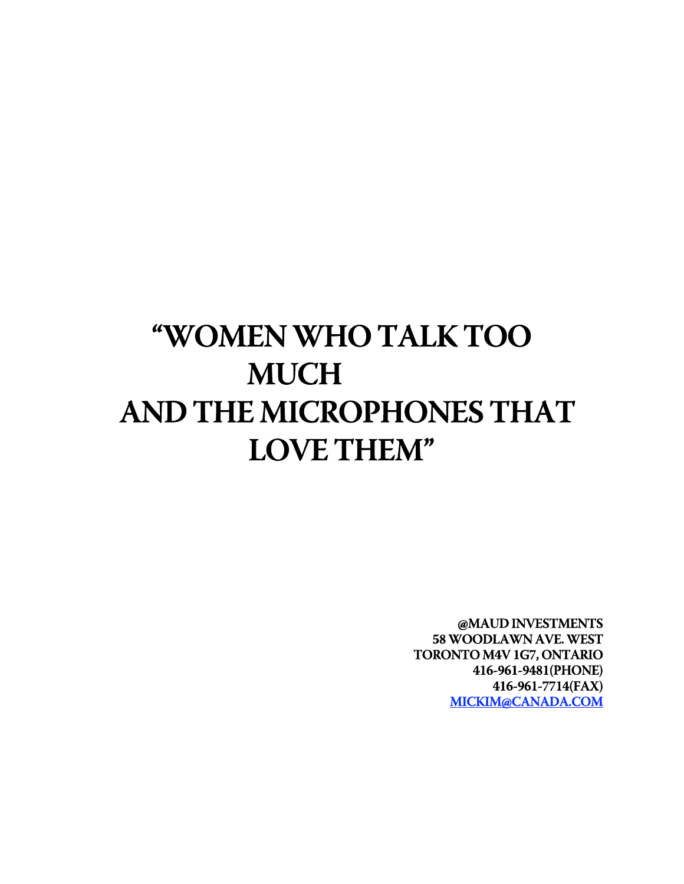# **"WOMEN WHO TALK TOO MUCH AND THE MICROPHONES THAT LOVE THEM"**

**@MAUD INVESTMENTS 58 WOODLAWN AVE. WEST TORONTO M4V 1G7, ONTARIO 416-961-9481(PHONE) 416-961-7714(FAX) MICKIM@CANADA.COM**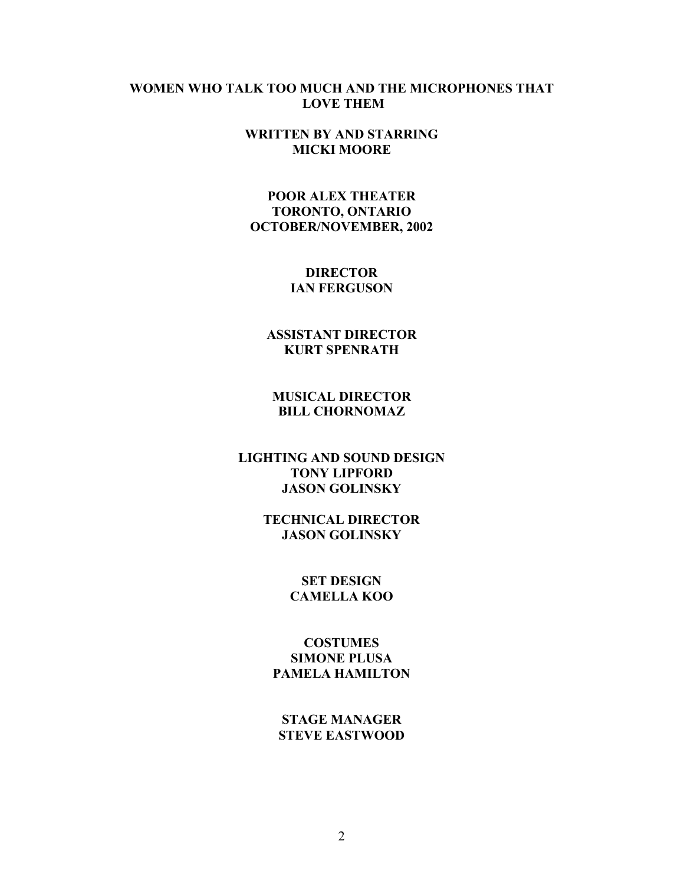#### **WOMEN WHO TALK TOO MUCH AND THE MICROPHONES THAT LOVE THEM**

**WRITTEN BY AND STARRING MICKI MOORE**

**POOR ALEX THEATER TORONTO, ONTARIO OCTOBER/NOVEMBER, 2002**

> **DIRECTOR IAN FERGUSON**

**ASSISTANT DIRECTOR KURT SPENRATH**

**MUSICAL DIRECTOR BILL CHORNOMAZ**

**LIGHTING AND SOUND DESIGN TONY LIPFORD JASON GOLINSKY**

> **TECHNICAL DIRECTOR JASON GOLINSKY**

> > **SET DESIGN CAMELLA KOO**

**COSTUMES SIMONE PLUSA PAMELA HAMILTON**

**STAGE MANAGER STEVE EASTWOOD**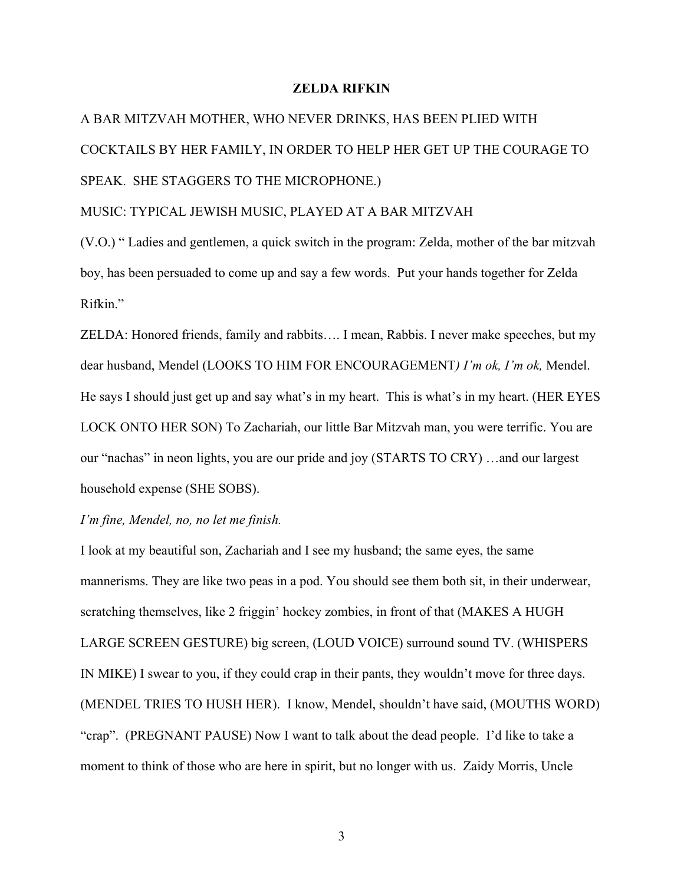#### **ZELDA RIFKIN**

A BAR MITZVAH MOTHER, WHO NEVER DRINKS, HAS BEEN PLIED WITH COCKTAILS BY HER FAMILY, IN ORDER TO HELP HER GET UP THE COURAGE TO SPEAK. SHE STAGGERS TO THE MICROPHONE.)

MUSIC: TYPICAL JEWISH MUSIC, PLAYED AT A BAR MITZVAH

(V.O.) " Ladies and gentlemen, a quick switch in the program: Zelda, mother of the bar mitzvah boy, has been persuaded to come up and say a few words. Put your hands together for Zelda Rifkin."

ZELDA: Honored friends, family and rabbits…. I mean, Rabbis. I never make speeches, but my dear husband, Mendel (LOOKS TO HIM FOR ENCOURAGEMENT*) I'm ok, I'm ok,* Mendel. He says I should just get up and say what's in my heart. This is what's in my heart. (HER EYES LOCK ONTO HER SON) To Zachariah, our little Bar Mitzvah man, you were terrific. You are our "nachas" in neon lights, you are our pride and joy (STARTS TO CRY) …and our largest household expense (SHE SOBS).

*I'm fine, Mendel, no, no let me finish.*

I look at my beautiful son, Zachariah and I see my husband; the same eyes, the same mannerisms. They are like two peas in a pod. You should see them both sit, in their underwear, scratching themselves, like 2 friggin' hockey zombies, in front of that (MAKES A HUGH LARGE SCREEN GESTURE) big screen, (LOUD VOICE) surround sound TV. (WHISPERS IN MIKE) I swear to you, if they could crap in their pants, they wouldn't move for three days. (MENDEL TRIES TO HUSH HER). I know, Mendel, shouldn't have said, (MOUTHS WORD) "crap". (PREGNANT PAUSE) Now I want to talk about the dead people. I'd like to take a moment to think of those who are here in spirit, but no longer with us. Zaidy Morris, Uncle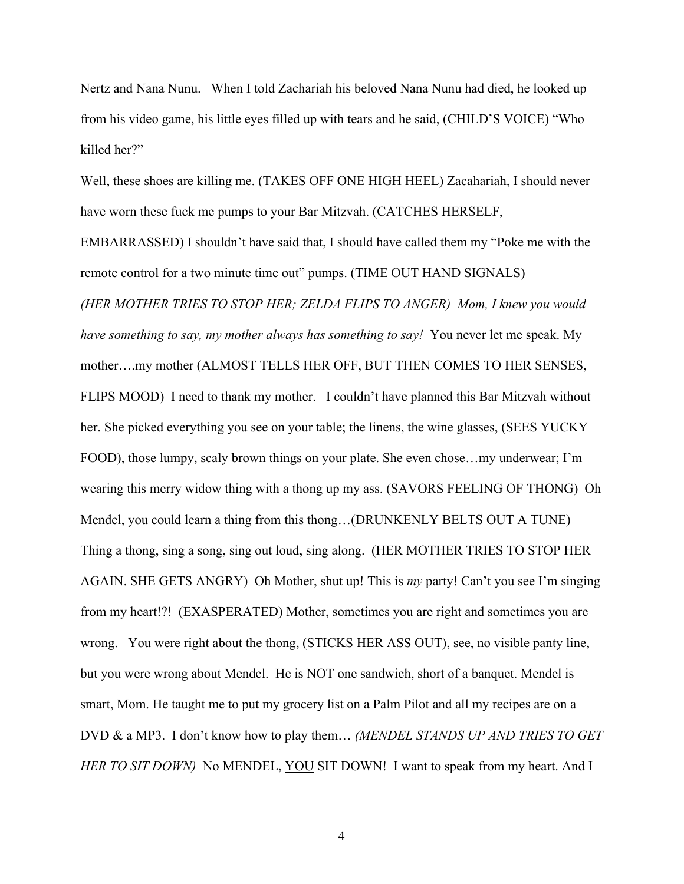Nertz and Nana Nunu. When I told Zachariah his beloved Nana Nunu had died, he looked up from his video game, his little eyes filled up with tears and he said, (CHILD'S VOICE) "Who killed her?"

Well, these shoes are killing me. (TAKES OFF ONE HIGH HEEL) Zacahariah, I should never have worn these fuck me pumps to your Bar Mitzvah. (CATCHES HERSELF,

EMBARRASSED) I shouldn't have said that, I should have called them my "Poke me with the remote control for a two minute time out" pumps. (TIME OUT HAND SIGNALS)

*(HER MOTHER TRIES TO STOP HER; ZELDA FLIPS TO ANGER) Mom, I knew you would have something to say, my mother always has something to say!* You never let me speak. My mother….my mother (ALMOST TELLS HER OFF, BUT THEN COMES TO HER SENSES, FLIPS MOOD) I need to thank my mother. I couldn't have planned this Bar Mitzvah without her. She picked everything you see on your table; the linens, the wine glasses, (SEES YUCKY FOOD), those lumpy, scaly brown things on your plate. She even chose…my underwear; I'm wearing this merry widow thing with a thong up my ass. (SAVORS FEELING OF THONG) Oh Mendel, you could learn a thing from this thong…(DRUNKENLY BELTS OUT A TUNE) Thing a thong, sing a song, sing out loud, sing along. (HER MOTHER TRIES TO STOP HER AGAIN. SHE GETS ANGRY) Oh Mother, shut up! This is *my* party! Can't you see I'm singing from my heart!?! (EXASPERATED) Mother, sometimes you are right and sometimes you are wrong. You were right about the thong, (STICKS HER ASS OUT), see, no visible panty line, but you were wrong about Mendel. He is NOT one sandwich, short of a banquet. Mendel is smart, Mom. He taught me to put my grocery list on a Palm Pilot and all my recipes are on a DVD & a MP3. I don't know how to play them… *(MENDEL STANDS UP AND TRIES TO GET HER TO SIT DOWN*) No MENDEL, YOU SIT DOWN! I want to speak from my heart. And I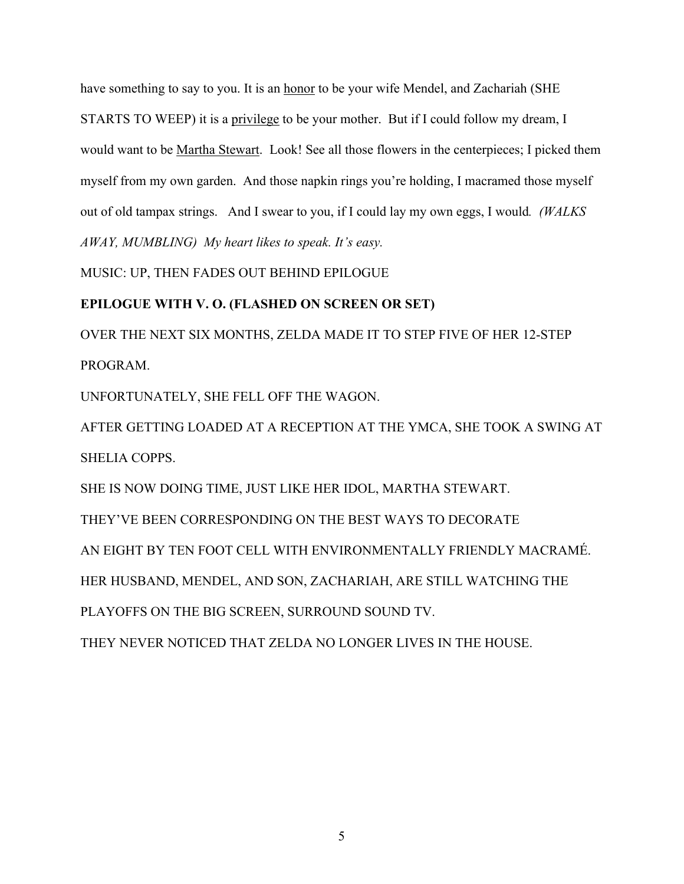have something to say to you. It is an honor to be your wife Mendel, and Zachariah (SHE STARTS TO WEEP) it is a privilege to be your mother. But if I could follow my dream, I would want to be Martha Stewart. Look! See all those flowers in the centerpieces; I picked them myself from my own garden. And those napkin rings you're holding, I macramed those myself out of old tampax strings. And I swear to you, if I could lay my own eggs, I would*. (WALKS AWAY, MUMBLING) My heart likes to speak. It's easy.*

MUSIC: UP, THEN FADES OUT BEHIND EPILOGUE

## **EPILOGUE WITH V. O. (FLASHED ON SCREEN OR SET)**

OVER THE NEXT SIX MONTHS, ZELDA MADE IT TO STEP FIVE OF HER 12-STEP PROGRAM.

UNFORTUNATELY, SHE FELL OFF THE WAGON.

AFTER GETTING LOADED AT A RECEPTION AT THE YMCA, SHE TOOK A SWING AT SHELIA COPPS.

SHE IS NOW DOING TIME, JUST LIKE HER IDOL, MARTHA STEWART.

THEY'VE BEEN CORRESPONDING ON THE BEST WAYS TO DECORATE

AN EIGHT BY TEN FOOT CELL WITH ENVIRONMENTALLY FRIENDLY MACRAMÉ.

HER HUSBAND, MENDEL, AND SON, ZACHARIAH, ARE STILL WATCHING THE

PLAYOFFS ON THE BIG SCREEN, SURROUND SOUND TV.

THEY NEVER NOTICED THAT ZELDA NO LONGER LIVES IN THE HOUSE.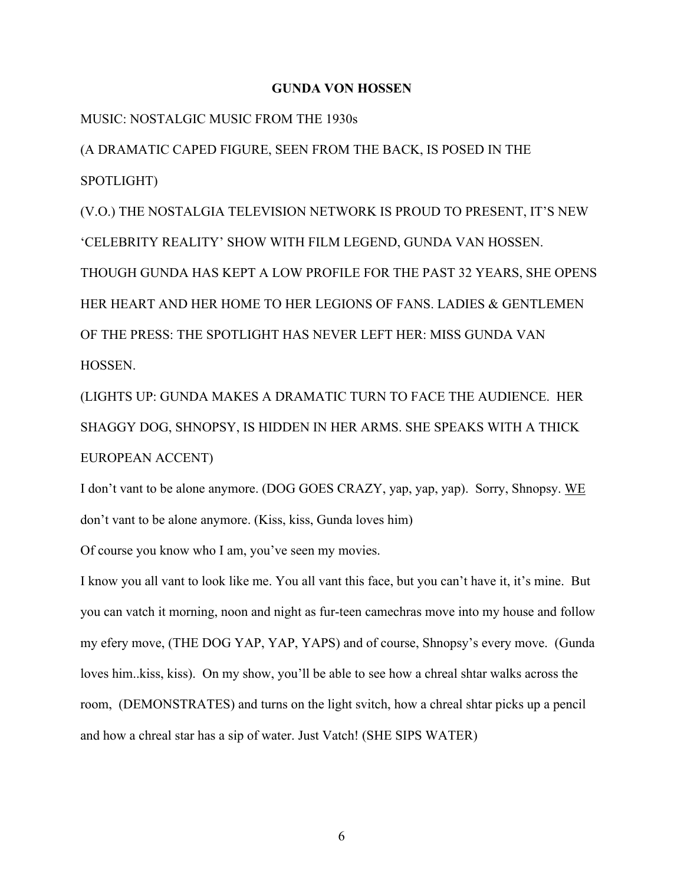#### **GUNDA VON HOSSEN**

MUSIC: NOSTALGIC MUSIC FROM THE 1930s

(A DRAMATIC CAPED FIGURE, SEEN FROM THE BACK, IS POSED IN THE SPOTLIGHT)

(V.O.) THE NOSTALGIA TELEVISION NETWORK IS PROUD TO PRESENT, IT'S NEW 'CELEBRITY REALITY' SHOW WITH FILM LEGEND, GUNDA VAN HOSSEN. THOUGH GUNDA HAS KEPT A LOW PROFILE FOR THE PAST 32 YEARS, SHE OPENS HER HEART AND HER HOME TO HER LEGIONS OF FANS. LADIES & GENTLEMEN OF THE PRESS: THE SPOTLIGHT HAS NEVER LEFT HER: MISS GUNDA VAN **HOSSEN** 

(LIGHTS UP: GUNDA MAKES A DRAMATIC TURN TO FACE THE AUDIENCE. HER SHAGGY DOG, SHNOPSY, IS HIDDEN IN HER ARMS. SHE SPEAKS WITH A THICK EUROPEAN ACCENT)

I don't vant to be alone anymore. (DOG GOES CRAZY, yap, yap, yap). Sorry, Shnopsy. WE don't vant to be alone anymore. (Kiss, kiss, Gunda loves him)

Of course you know who I am, you've seen my movies.

I know you all vant to look like me. You all vant this face, but you can't have it, it's mine. But you can vatch it morning, noon and night as fur-teen camechras move into my house and follow my efery move, (THE DOG YAP, YAP, YAPS) and of course, Shnopsy's every move. (Gunda loves him..kiss, kiss). On my show, you'll be able to see how a chreal shtar walks across the room, (DEMONSTRATES) and turns on the light svitch, how a chreal shtar picks up a pencil and how a chreal star has a sip of water. Just Vatch! (SHE SIPS WATER)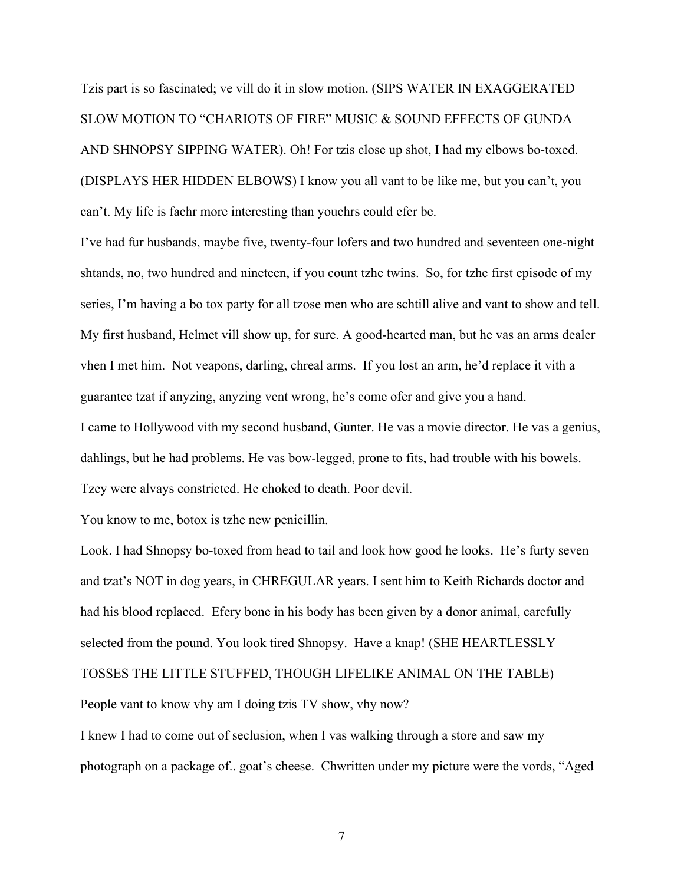Tzis part is so fascinated; ve vill do it in slow motion. (SIPS WATER IN EXAGGERATED SLOW MOTION TO "CHARIOTS OF FIRE" MUSIC & SOUND EFFECTS OF GUNDA AND SHNOPSY SIPPING WATER). Oh! For tzis close up shot, I had my elbows bo-toxed. (DISPLAYS HER HIDDEN ELBOWS) I know you all vant to be like me, but you can't, you can't. My life is fachr more interesting than youchrs could efer be.

I've had fur husbands, maybe five, twenty-four lofers and two hundred and seventeen one-night shtands, no, two hundred and nineteen, if you count tzhe twins. So, for tzhe first episode of my series, I'm having a bo tox party for all tzose men who are schtill alive and vant to show and tell. My first husband, Helmet vill show up, for sure. A good-hearted man, but he vas an arms dealer vhen I met him. Not veapons, darling, chreal arms. If you lost an arm, he'd replace it vith a guarantee tzat if anyzing, anyzing vent wrong, he's come ofer and give you a hand. I came to Hollywood vith my second husband, Gunter. He vas a movie director. He vas a genius, dahlings, but he had problems. He vas bow-legged, prone to fits, had trouble with his bowels. Tzey were alvays constricted. He choked to death. Poor devil.

You know to me, botox is tzhe new penicillin.

Look. I had Shnopsy bo-toxed from head to tail and look how good he looks. He's furty seven and tzat's NOT in dog years, in CHREGULAR years. I sent him to Keith Richards doctor and had his blood replaced. Efery bone in his body has been given by a donor animal, carefully selected from the pound. You look tired Shnopsy. Have a knap! (SHE HEARTLESSLY

TOSSES THE LITTLE STUFFED, THOUGH LIFELIKE ANIMAL ON THE TABLE)

People vant to know vhy am I doing tzis TV show, vhy now?

I knew I had to come out of seclusion, when I vas walking through a store and saw my photograph on a package of.. goat's cheese. Chwritten under my picture were the vords, "Aged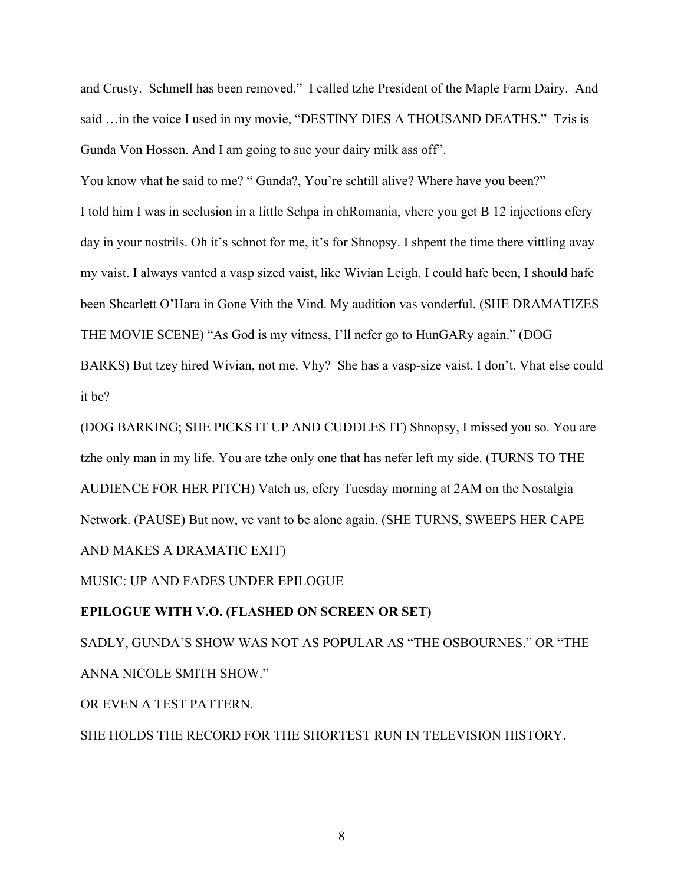and Crusty. Schmell has been removed." I called tzhe President of the Maple Farm Dairy. And said ... in the voice I used in my movie, "DESTINY DIES A THOUSAND DEATHS." Tzis is Gunda Von Hossen. And I am going to sue your dairy milk ass off".

You know vhat he said to me? " Gunda?, You're schtill alive? Where have you been?"

I told him I was in seclusion in a little Schpa in chRomania, vhere you get B 12 injections efery day in your nostrils. Oh it's schnot for me, it's for Shnopsy. I shpent the time there vittling avay my vaist. I always vanted a vasp sized vaist, like Wivian Leigh. I could hafe been, I should hafe been Shcarlett O'Hara in Gone Vith the Vind. My audition vas vonderful. (SHE DRAMATIZES THE MOVIE SCENE) "As God is my vitness, I'll nefer go to HunGARy again." (DOG BARKS) But tzey hired Wivian, not me. Vhy? She has a vasp-size vaist. I don't. Vhat else could it be?

(DOG BARKING; SHE PICKS IT UP AND CUDDLES IT) Shnopsy, I missed you so. You are tzhe only man in my life. You are tzhe only one that has nefer left my side. (TURNS TO THE AUDIENCE FOR HER PITCH) Vatch us, efery Tuesday morning at 2AM on the Nostalgia Network. (PAUSE) But now, ve vant to be alone again. (SHE TURNS, SWEEPS HER CAPE AND MAKES A DRAMATIC EXIT)

MUSIC: UP AND FADES UNDER EPILOGUE

#### **EPILOGUE WITH V.O. (FLASHED ON SCREEN OR SET)**

SADLY, GUNDA'S SHOW WAS NOT AS POPULAR AS "THE OSBOURNES." OR "THE ANNA NICOLE SMITH SHOW."

OR EVEN A TEST PATTERN.

SHE HOLDS THE RECORD FOR THE SHORTEST RUN IN TELEVISION HISTORY.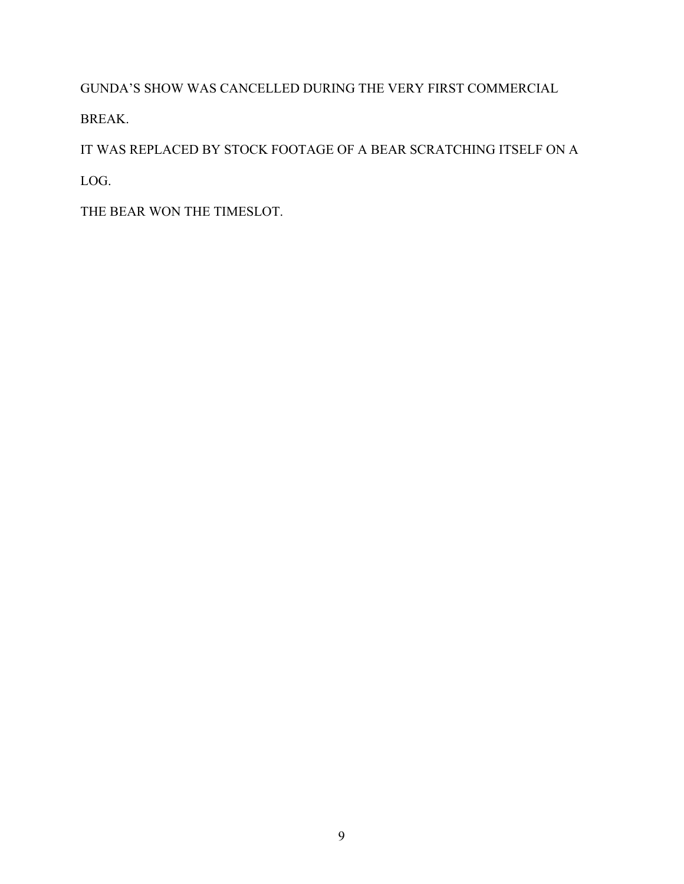GUNDA'S SHOW WAS CANCELLED DURING THE VERY FIRST COMMERCIAL

BREAK.

IT WAS REPLACED BY STOCK FOOTAGE OF A BEAR SCRATCHING ITSELF ON A

LOG.

THE BEAR WON THE TIMESLOT.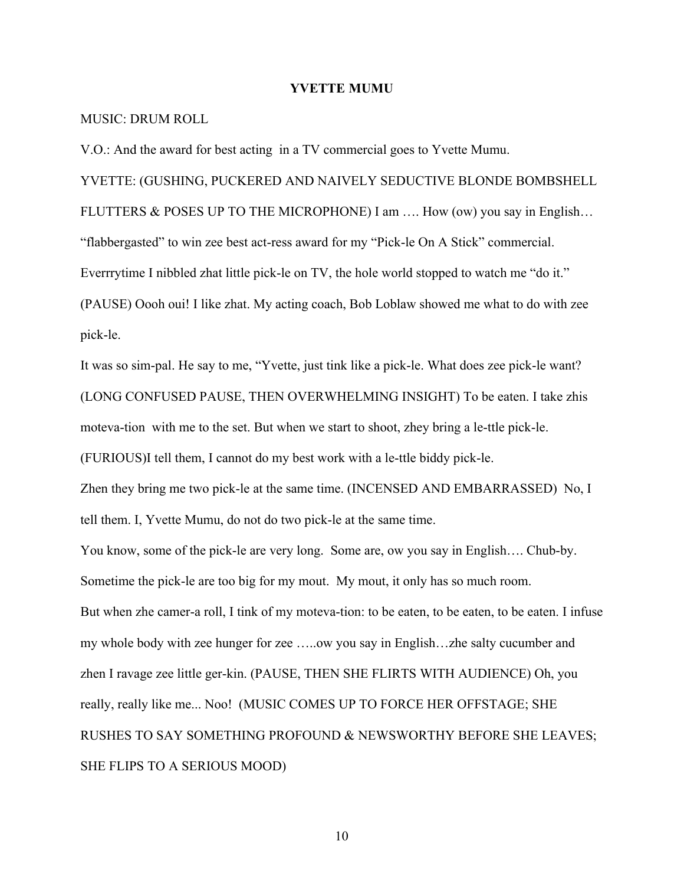#### **YVETTE MUMU**

#### MUSIC: DRUM ROLL

V.O.: And the award for best acting in a TV commercial goes to Yvette Mumu.

YVETTE: (GUSHING, PUCKERED AND NAIVELY SEDUCTIVE BLONDE BOMBSHELL FLUTTERS & POSES UP TO THE MICROPHONE) I am …. How (ow) you say in English… "flabbergasted" to win zee best act-ress award for my "Pick-le On A Stick" commercial. Everrrytime I nibbled zhat little pick-le on TV, the hole world stopped to watch me "do it." (PAUSE) Oooh oui! I like zhat. My acting coach, Bob Loblaw showed me what to do with zee pick-le.

It was so sim-pal. He say to me, "Yvette, just tink like a pick-le. What does zee pick-le want? (LONG CONFUSED PAUSE, THEN OVERWHELMING INSIGHT) To be eaten. I take zhis moteva-tion with me to the set. But when we start to shoot, zhey bring a le-ttle pick-le.

(FURIOUS)I tell them, I cannot do my best work with a le-ttle biddy pick-le.

Zhen they bring me two pick-le at the same time. (INCENSED AND EMBARRASSED) No, I tell them. I, Yvette Mumu, do not do two pick-le at the same time.

You know, some of the pick-le are very long. Some are, ow you say in English…. Chub-by. Sometime the pick-le are too big for my mout. My mout, it only has so much room. But when zhe camer-a roll, I tink of my moteva-tion: to be eaten, to be eaten, to be eaten. I infuse my whole body with zee hunger for zee …..ow you say in English…zhe salty cucumber and zhen I ravage zee little ger-kin. (PAUSE, THEN SHE FLIRTS WITH AUDIENCE) Oh, you really, really like me... Noo! (MUSIC COMES UP TO FORCE HER OFFSTAGE; SHE RUSHES TO SAY SOMETHING PROFOUND & NEWSWORTHY BEFORE SHE LEAVES; SHE FLIPS TO A SERIOUS MOOD)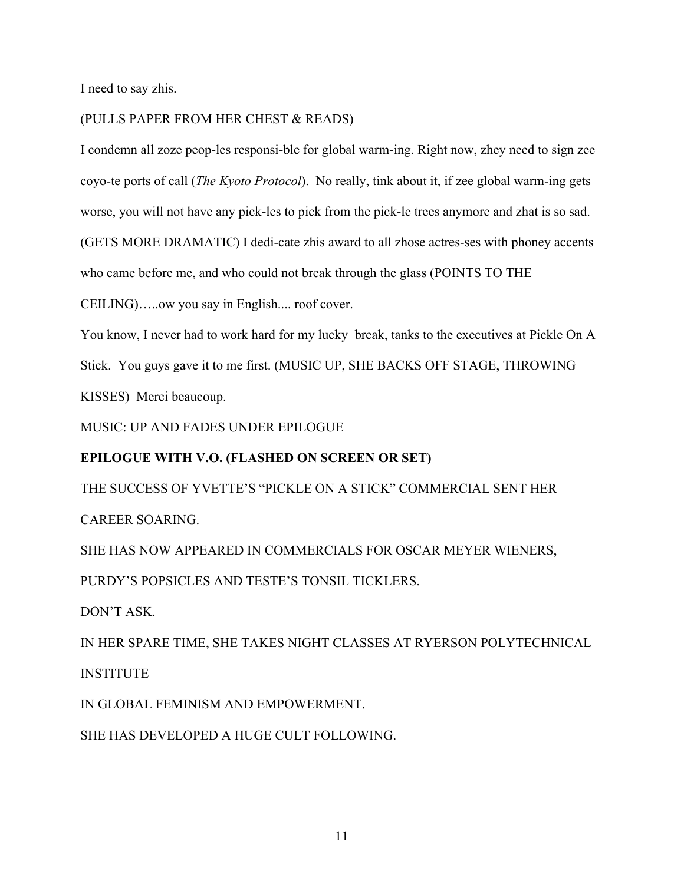I need to say zhis.

### (PULLS PAPER FROM HER CHEST & READS)

I condemn all zoze peop-les responsi-ble for global warm-ing. Right now, zhey need to sign zee coyo-te ports of call (*The Kyoto Protocol*). No really, tink about it, if zee global warm-ing gets worse, you will not have any pick-les to pick from the pick-le trees anymore and zhat is so sad.

(GETS MORE DRAMATIC) I dedi-cate zhis award to all zhose actres-ses with phoney accents who came before me, and who could not break through the glass (POINTS TO THE

CEILING)…..ow you say in English.... roof cover.

You know, I never had to work hard for my lucky break, tanks to the executives at Pickle On A Stick. You guys gave it to me first. (MUSIC UP, SHE BACKS OFF STAGE, THROWING KISSES) Merci beaucoup.

MUSIC: UP AND FADES UNDER EPILOGUE

## **EPILOGUE WITH V.O. (FLASHED ON SCREEN OR SET)**

THE SUCCESS OF YVETTE'S "PICKLE ON A STICK" COMMERCIAL SENT HER

CAREER SOARING.

SHE HAS NOW APPEARED IN COMMERCIALS FOR OSCAR MEYER WIENERS,

PURDY'S POPSICLES AND TESTE'S TONSIL TICKLERS.

DON'T ASK.

IN HER SPARE TIME, SHE TAKES NIGHT CLASSES AT RYERSON POLYTECHNICAL **INSTITUTE** 

IN GLOBAL FEMINISM AND EMPOWERMENT.

SHE HAS DEVELOPED A HUGE CULT FOLLOWING.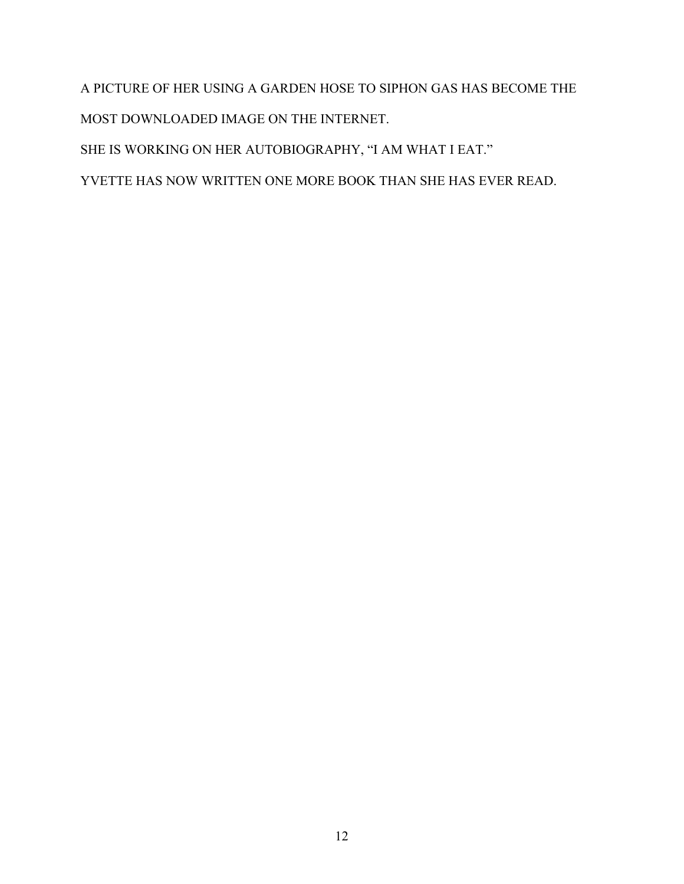A PICTURE OF HER USING A GARDEN HOSE TO SIPHON GAS HAS BECOME THE MOST DOWNLOADED IMAGE ON THE INTERNET. SHE IS WORKING ON HER AUTOBIOGRAPHY, "I AM WHAT I EAT."

YVETTE HAS NOW WRITTEN ONE MORE BOOK THAN SHE HAS EVER READ.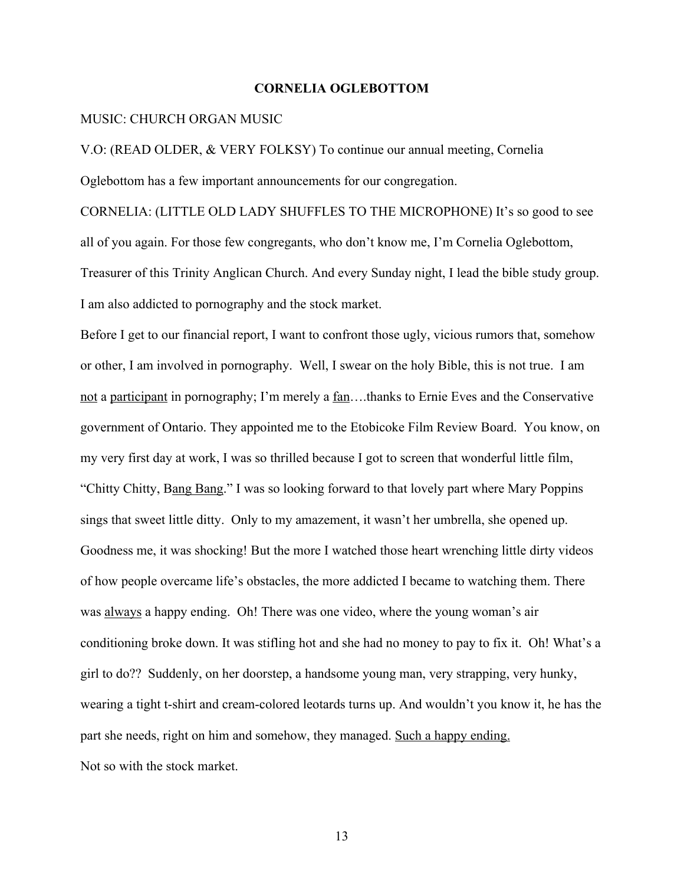#### **CORNELIA OGLEBOTTOM**

#### MUSIC: CHURCH ORGAN MUSIC

V.O: (READ OLDER, & VERY FOLKSY) To continue our annual meeting, Cornelia Oglebottom has a few important announcements for our congregation.

CORNELIA: (LITTLE OLD LADY SHUFFLES TO THE MICROPHONE) It's so good to see all of you again. For those few congregants, who don't know me, I'm Cornelia Oglebottom, Treasurer of this Trinity Anglican Church. And every Sunday night, I lead the bible study group. I am also addicted to pornography and the stock market.

Before I get to our financial report, I want to confront those ugly, vicious rumors that, somehow or other, I am involved in pornography. Well, I swear on the holy Bible, this is not true. I am not a participant in pornography; I'm merely a fan….thanks to Ernie Eves and the Conservative government of Ontario. They appointed me to the Etobicoke Film Review Board. You know, on my very first day at work, I was so thrilled because I got to screen that wonderful little film, "Chitty Chitty, Bang Bang." I was so looking forward to that lovely part where Mary Poppins sings that sweet little ditty. Only to my amazement, it wasn't her umbrella, she opened up. Goodness me, it was shocking! But the more I watched those heart wrenching little dirty videos of how people overcame life's obstacles, the more addicted I became to watching them. There was always a happy ending. Oh! There was one video, where the young woman's air conditioning broke down. It was stifling hot and she had no money to pay to fix it. Oh! What's a girl to do?? Suddenly, on her doorstep, a handsome young man, very strapping, very hunky, wearing a tight t-shirt and cream-colored leotards turns up. And wouldn't you know it, he has the part she needs, right on him and somehow, they managed. Such a happy ending. Not so with the stock market.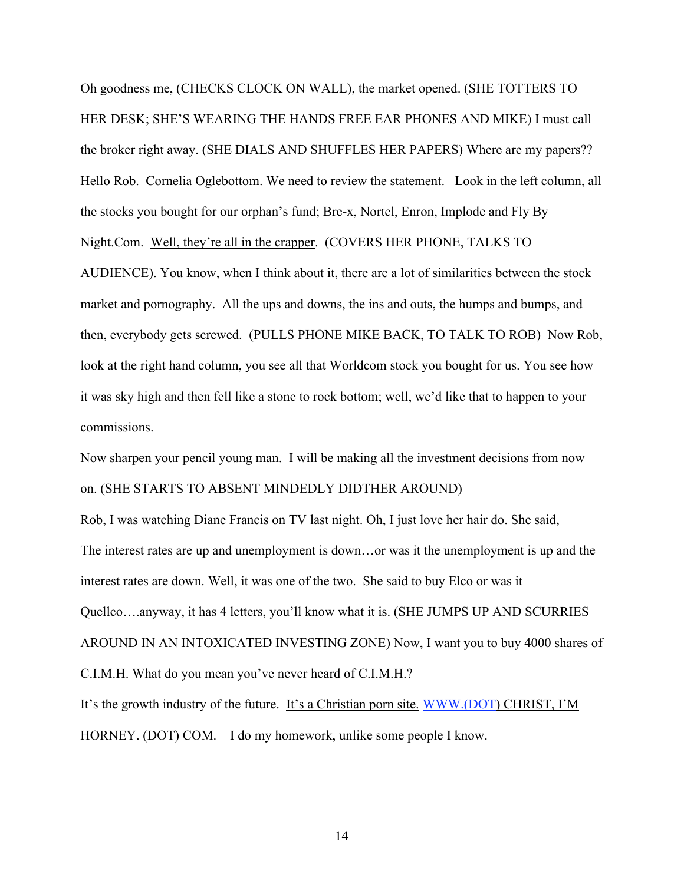Oh goodness me, (CHECKS CLOCK ON WALL), the market opened. (SHE TOTTERS TO HER DESK; SHE'S WEARING THE HANDS FREE EAR PHONES AND MIKE) I must call the broker right away. (SHE DIALS AND SHUFFLES HER PAPERS) Where are my papers?? Hello Rob. Cornelia Oglebottom. We need to review the statement. Look in the left column, all the stocks you bought for our orphan's fund; Bre-x, Nortel, Enron, Implode and Fly By Night.Com. Well, they're all in the crapper. (COVERS HER PHONE, TALKS TO AUDIENCE). You know, when I think about it, there are a lot of similarities between the stock market and pornography. All the ups and downs, the ins and outs, the humps and bumps, and then, everybody gets screwed. (PULLS PHONE MIKE BACK, TO TALK TO ROB) Now Rob, look at the right hand column, you see all that Worldcom stock you bought for us. You see how it was sky high and then fell like a stone to rock bottom; well, we'd like that to happen to your commissions.

Now sharpen your pencil young man. I will be making all the investment decisions from now on. (SHE STARTS TO ABSENT MINDEDLY DIDTHER AROUND)

Rob, I was watching Diane Francis on TV last night. Oh, I just love her hair do. She said, The interest rates are up and unemployment is down…or was it the unemployment is up and the interest rates are down. Well, it was one of the two. She said to buy Elco or was it Quellco….anyway, it has 4 letters, you'll know what it is. (SHE JUMPS UP AND SCURRIES AROUND IN AN INTOXICATED INVESTING ZONE) Now, I want you to buy 4000 shares of C.I.M.H. What do you mean you've never heard of C.I.M.H.?

It's the growth industry of the future. It's a Christian porn site. WWW.(DOT) CHRIST, I'M HORNEY. (DOT) COM. I do my homework, unlike some people I know.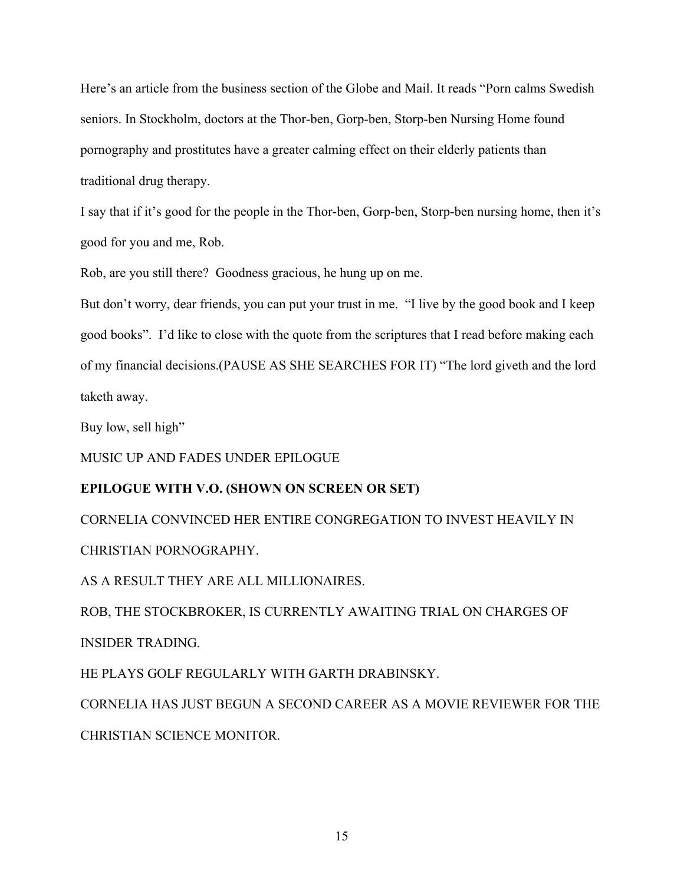Here's an article from the business section of the Globe and Mail. It reads "Porn calms Swedish seniors. In Stockholm, doctors at the Thor-ben, Gorp-ben, Storp-ben Nursing Home found pornography and prostitutes have a greater calming effect on their elderly patients than traditional drug therapy.

I say that if it's good for the people in the Thor-ben, Gorp-ben, Storp-ben nursing home, then it's good for you and me, Rob.

Rob, are you still there? Goodness gracious, he hung up on me.

But don't worry, dear friends, you can put your trust in me. "I live by the good book and I keep good books". I'd like to close with the quote from the scriptures that I read before making each of my financial decisions.(PAUSE AS SHE SEARCHES FOR IT) "The lord giveth and the lord taketh away.

Buy low, sell high"

MUSIC UP AND FADES UNDER EPILOGUE

## **EPILOGUE WITH V.O. (SHOWN ON SCREEN OR SET)**

CORNELIA CONVINCED HER ENTIRE CONGREGATION TO INVEST HEAVILY IN CHRISTIAN PORNOGRAPHY.

AS A RESULT THEY ARE ALL MILLIONAIRES.

ROB, THE STOCKBROKER, IS CURRENTLY AWAITING TRIAL ON CHARGES OF INSIDER TRADING.

HE PLAYS GOLF REGULARLY WITH GARTH DRABINSKY.

CORNELIA HAS JUST BEGUN A SECOND CAREER AS A MOVIE REVIEWER FOR THE CHRISTIAN SCIENCE MONITOR.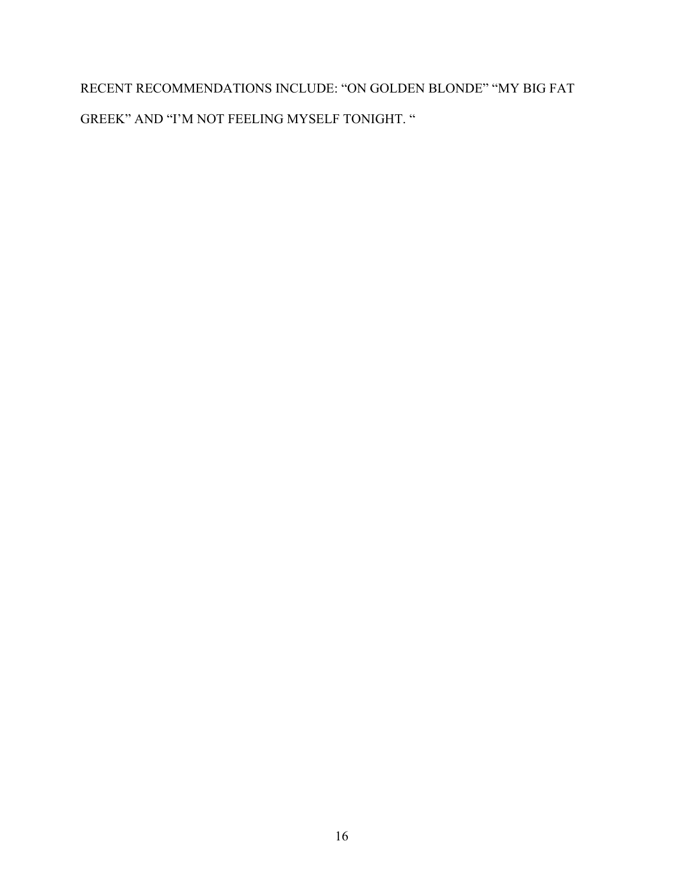RECENT RECOMMENDATIONS INCLUDE: "ON GOLDEN BLONDE" "MY BIG FAT GREEK" AND "I'M NOT FEELING MYSELF TONIGHT. "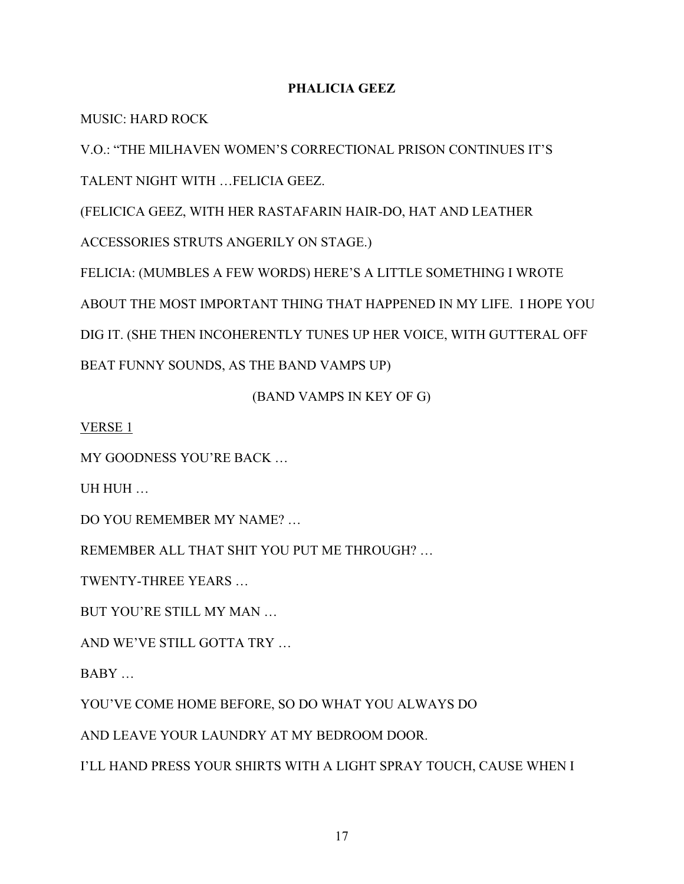## **PHALICIA GEEZ**

MUSIC: HARD ROCK

V.O.: "THE MILHAVEN WOMEN'S CORRECTIONAL PRISON CONTINUES IT'S

TALENT NIGHT WITH …FELICIA GEEZ.

(FELICICA GEEZ, WITH HER RASTAFARIN HAIR-DO, HAT AND LEATHER

ACCESSORIES STRUTS ANGERILY ON STAGE.)

FELICIA: (MUMBLES A FEW WORDS) HERE'S A LITTLE SOMETHING I WROTE ABOUT THE MOST IMPORTANT THING THAT HAPPENED IN MY LIFE. I HOPE YOU DIG IT. (SHE THEN INCOHERENTLY TUNES UP HER VOICE, WITH GUTTERAL OFF BEAT FUNNY SOUNDS, AS THE BAND VAMPS UP)

(BAND VAMPS IN KEY OF G)

VERSE 1

MY GOODNESS YOU'RE BACK …

UH HUH …

DO YOU REMEMBER MY NAME? …

REMEMBER ALL THAT SHIT YOU PUT ME THROUGH? …

TWENTY-THREE YEARS …

BUT YOU'RE STILL MY MAN …

AND WE'VE STILL GOTTA TRY …

BABY …

YOU'VE COME HOME BEFORE, SO DO WHAT YOU ALWAYS DO

AND LEAVE YOUR LAUNDRY AT MY BEDROOM DOOR.

I'LL HAND PRESS YOUR SHIRTS WITH A LIGHT SPRAY TOUCH, CAUSE WHEN I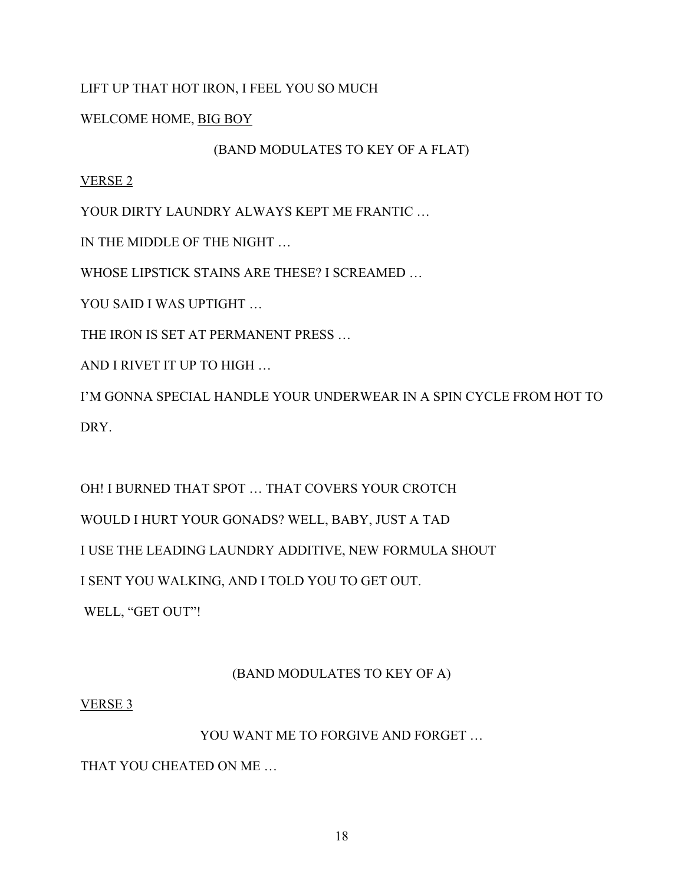## LIFT UP THAT HOT IRON, I FEEL YOU SO MUCH

## WELCOME HOME, BIG BOY

## (BAND MODULATES TO KEY OF A FLAT)

## VERSE 2

YOUR DIRTY LAUNDRY ALWAYS KEPT ME FRANTIC …

IN THE MIDDLE OF THE NIGHT …

WHOSE LIPSTICK STAINS ARE THESE? I SCREAMED …

YOU SAID I WAS UPTIGHT ...

THE IRON IS SET AT PERMANENT PRESS …

AND I RIVET IT UP TO HIGH …

I'M GONNA SPECIAL HANDLE YOUR UNDERWEAR IN A SPIN CYCLE FROM HOT TO DRY.

OH! I BURNED THAT SPOT … THAT COVERS YOUR CROTCH WOULD I HURT YOUR GONADS? WELL, BABY, JUST A TAD I USE THE LEADING LAUNDRY ADDITIVE, NEW FORMULA SHOUT I SENT YOU WALKING, AND I TOLD YOU TO GET OUT.

WELL, "GET OUT"!

## (BAND MODULATES TO KEY OF A)

## VERSE 3

## YOU WANT ME TO FORGIVE AND FORGET …

THAT YOU CHEATED ON ME …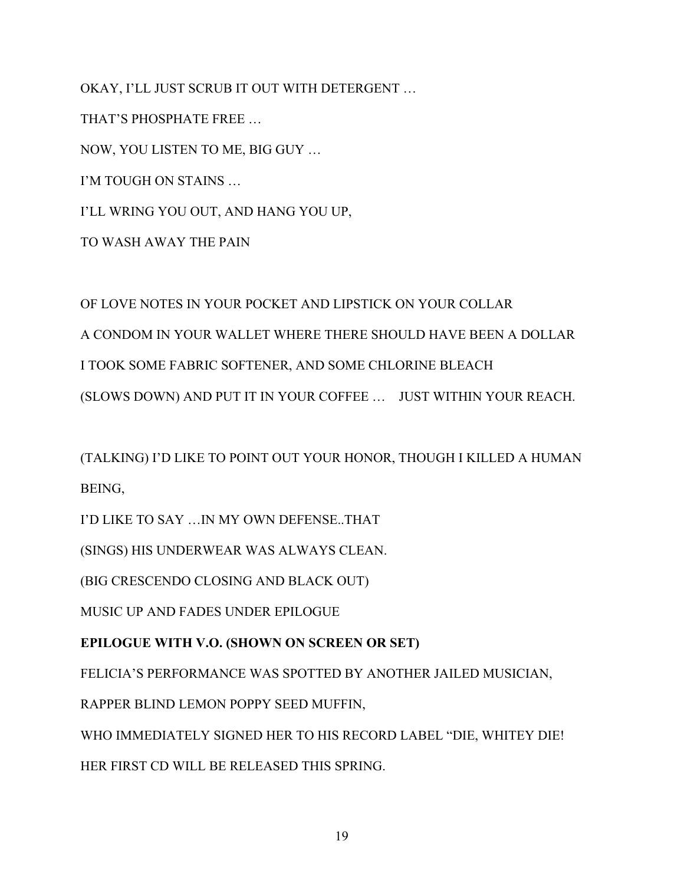OKAY, I'LL JUST SCRUB IT OUT WITH DETERGENT …

THAT'S PHOSPHATE FREE …

NOW, YOU LISTEN TO ME, BIG GUY …

I'M TOUGH ON STAINS …

I'LL WRING YOU OUT, AND HANG YOU UP,

TO WASH AWAY THE PAIN

## OF LOVE NOTES IN YOUR POCKET AND LIPSTICK ON YOUR COLLAR A CONDOM IN YOUR WALLET WHERE THERE SHOULD HAVE BEEN A DOLLAR I TOOK SOME FABRIC SOFTENER, AND SOME CHLORINE BLEACH (SLOWS DOWN) AND PUT IT IN YOUR COFFEE … JUST WITHIN YOUR REACH.

(TALKING) I'D LIKE TO POINT OUT YOUR HONOR, THOUGH I KILLED A HUMAN BEING,

I'D LIKE TO SAY …IN MY OWN DEFENSE..THAT

(SINGS) HIS UNDERWEAR WAS ALWAYS CLEAN.

(BIG CRESCENDO CLOSING AND BLACK OUT)

MUSIC UP AND FADES UNDER EPILOGUE

## **EPILOGUE WITH V.O. (SHOWN ON SCREEN OR SET)**

FELICIA'S PERFORMANCE WAS SPOTTED BY ANOTHER JAILED MUSICIAN,

RAPPER BLIND LEMON POPPY SEED MUFFIN,

WHO IMMEDIATELY SIGNED HER TO HIS RECORD LABEL "DIE, WHITEY DIE! HER FIRST CD WILL BE RELEASED THIS SPRING.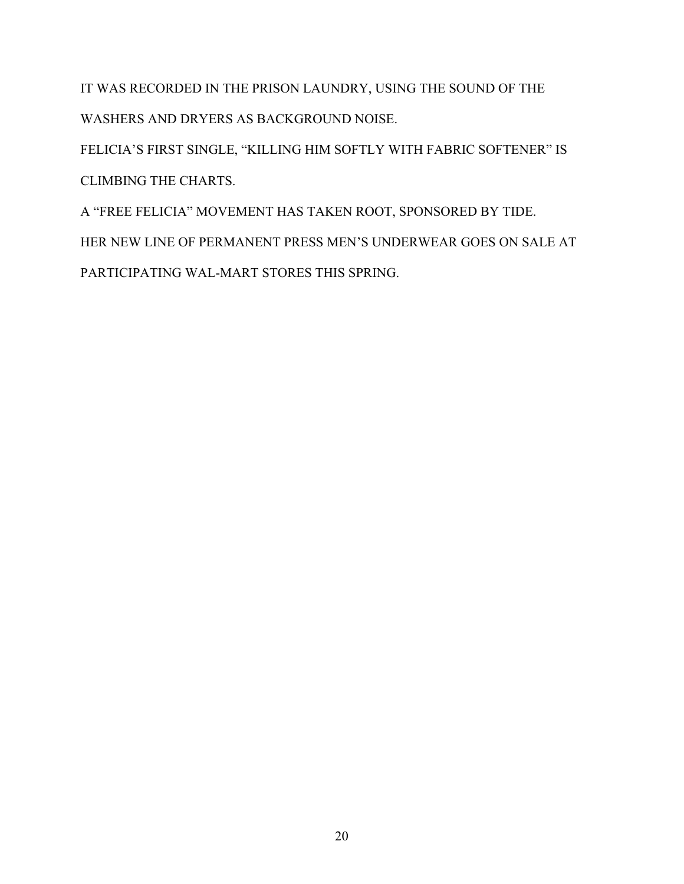IT WAS RECORDED IN THE PRISON LAUNDRY, USING THE SOUND OF THE WASHERS AND DRYERS AS BACKGROUND NOISE.

FELICIA'S FIRST SINGLE, "KILLING HIM SOFTLY WITH FABRIC SOFTENER" IS CLIMBING THE CHARTS.

A "FREE FELICIA" MOVEMENT HAS TAKEN ROOT, SPONSORED BY TIDE. HER NEW LINE OF PERMANENT PRESS MEN'S UNDERWEAR GOES ON SALE AT PARTICIPATING WAL-MART STORES THIS SPRING.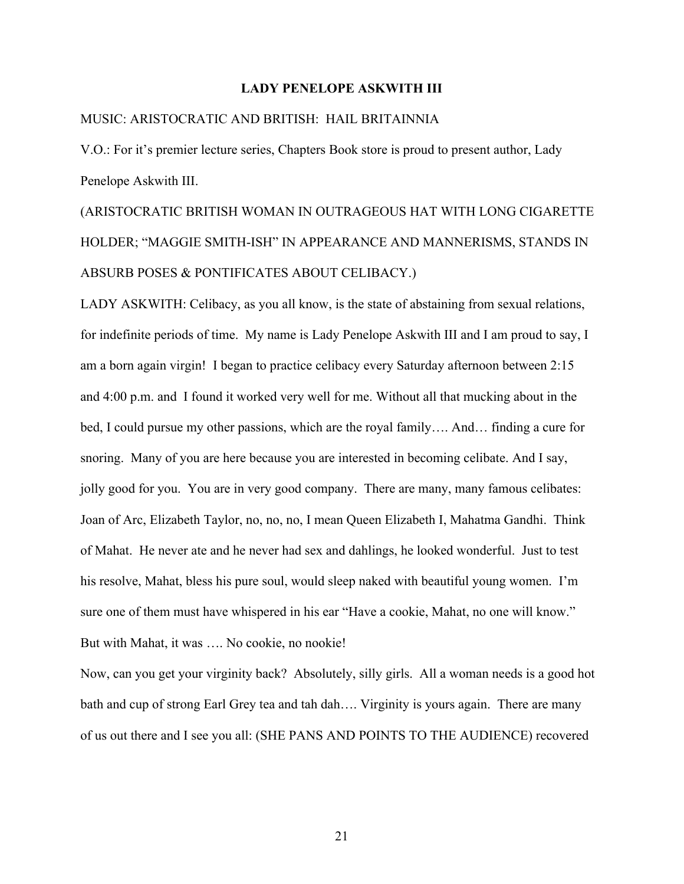#### **LADY PENELOPE ASKWITH III**

#### MUSIC: ARISTOCRATIC AND BRITISH: HAIL BRITAINNIA

V.O.: For it's premier lecture series, Chapters Book store is proud to present author, Lady Penelope Askwith III.

## (ARISTOCRATIC BRITISH WOMAN IN OUTRAGEOUS HAT WITH LONG CIGARETTE HOLDER; "MAGGIE SMITH-ISH" IN APPEARANCE AND MANNERISMS, STANDS IN ABSURB POSES & PONTIFICATES ABOUT CELIBACY.)

LADY ASKWITH: Celibacy, as you all know, is the state of abstaining from sexual relations, for indefinite periods of time. My name is Lady Penelope Askwith III and I am proud to say, I am a born again virgin! I began to practice celibacy every Saturday afternoon between 2:15 and 4:00 p.m. and I found it worked very well for me. Without all that mucking about in the bed, I could pursue my other passions, which are the royal family…. And… finding a cure for snoring. Many of you are here because you are interested in becoming celibate. And I say, jolly good for you. You are in very good company. There are many, many famous celibates: Joan of Arc, Elizabeth Taylor, no, no, no, I mean Queen Elizabeth I, Mahatma Gandhi. Think of Mahat. He never ate and he never had sex and dahlings, he looked wonderful. Just to test his resolve, Mahat, bless his pure soul, would sleep naked with beautiful young women. I'm sure one of them must have whispered in his ear "Have a cookie, Mahat, no one will know." But with Mahat, it was …. No cookie, no nookie!

Now, can you get your virginity back? Absolutely, silly girls. All a woman needs is a good hot bath and cup of strong Earl Grey tea and tah dah…. Virginity is yours again. There are many of us out there and I see you all: (SHE PANS AND POINTS TO THE AUDIENCE) recovered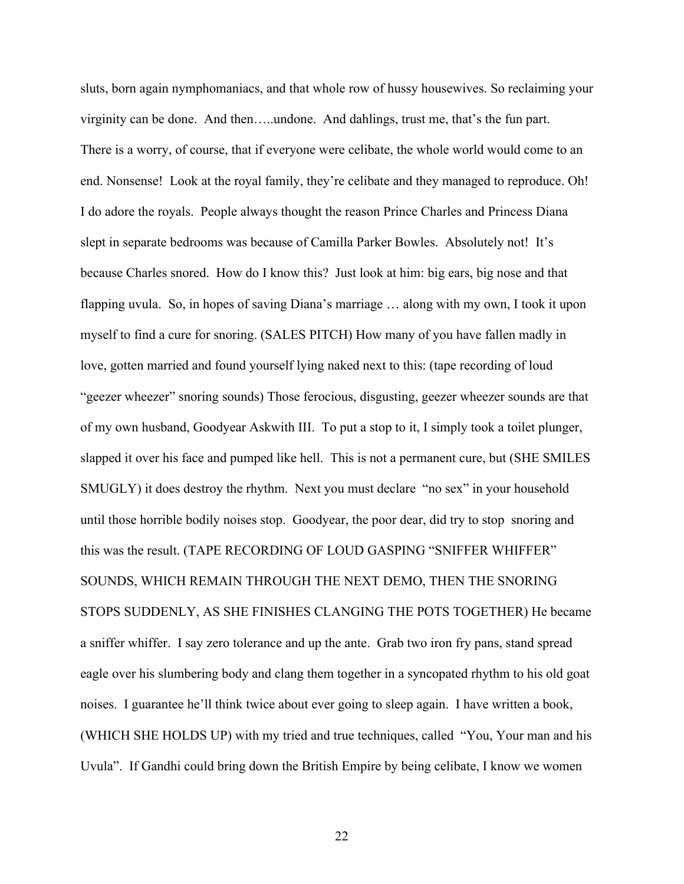sluts, born again nymphomaniacs, and that whole row of hussy housewives. So reclaiming your virginity can be done. And then…..undone. And dahlings, trust me, that's the fun part. There is a worry, of course, that if everyone were celibate, the whole world would come to an end. Nonsense! Look at the royal family, they're celibate and they managed to reproduce. Oh! I do adore the royals. People always thought the reason Prince Charles and Princess Diana slept in separate bedrooms was because of Camilla Parker Bowles. Absolutely not! It's because Charles snored. How do I know this? Just look at him: big ears, big nose and that flapping uvula. So, in hopes of saving Diana's marriage … along with my own, I took it upon myself to find a cure for snoring. (SALES PITCH) How many of you have fallen madly in love, gotten married and found yourself lying naked next to this: (tape recording of loud "geezer wheezer" snoring sounds) Those ferocious, disgusting, geezer wheezer sounds are that of my own husband, Goodyear Askwith III. To put a stop to it, I simply took a toilet plunger, slapped it over his face and pumped like hell. This is not a permanent cure, but (SHE SMILES SMUGLY) it does destroy the rhythm. Next you must declare "no sex" in your household until those horrible bodily noises stop. Goodyear, the poor dear, did try to stop snoring and this was the result. (TAPE RECORDING OF LOUD GASPING "SNIFFER WHIFFER" SOUNDS, WHICH REMAIN THROUGH THE NEXT DEMO, THEN THE SNORING STOPS SUDDENLY, AS SHE FINISHES CLANGING THE POTS TOGETHER) He became a sniffer whiffer. I say zero tolerance and up the ante. Grab two iron fry pans, stand spread eagle over his slumbering body and clang them together in a syncopated rhythm to his old goat noises. I guarantee he'll think twice about ever going to sleep again. I have written a book, (WHICH SHE HOLDS UP) with my tried and true techniques, called "You, Your man and his Uvula". If Gandhi could bring down the British Empire by being celibate, I know we women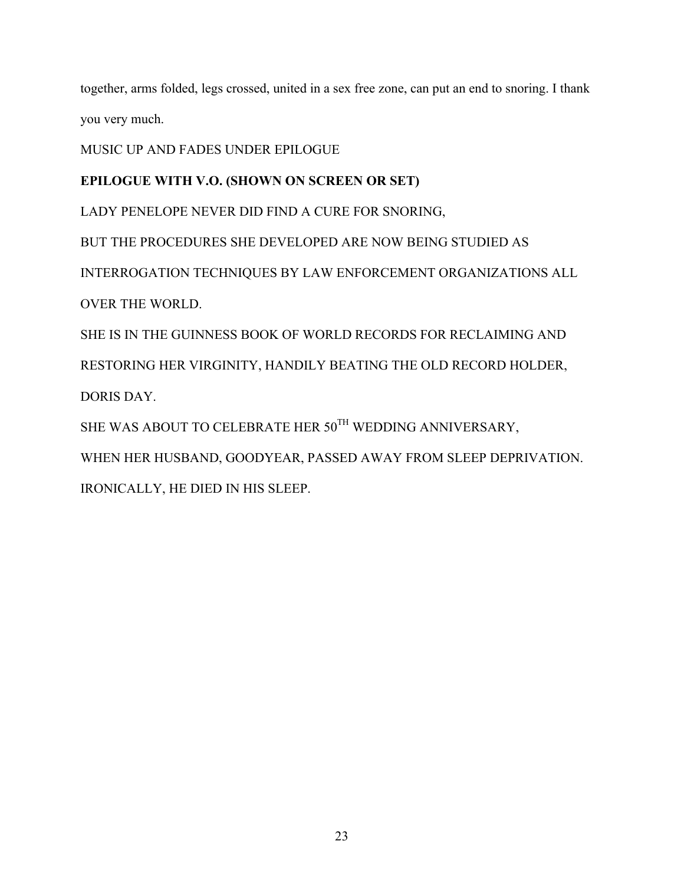together, arms folded, legs crossed, united in a sex free zone, can put an end to snoring. I thank you very much.

MUSIC UP AND FADES UNDER EPILOGUE

## **EPILOGUE WITH V.O. (SHOWN ON SCREEN OR SET)**

LADY PENELOPE NEVER DID FIND A CURE FOR SNORING,

BUT THE PROCEDURES SHE DEVELOPED ARE NOW BEING STUDIED AS

INTERROGATION TECHNIQUES BY LAW ENFORCEMENT ORGANIZATIONS ALL OVER THE WORLD.

SHE IS IN THE GUINNESS BOOK OF WORLD RECORDS FOR RECLAIMING AND RESTORING HER VIRGINITY, HANDILY BEATING THE OLD RECORD HOLDER, DORIS DAY.

SHE WAS ABOUT TO CELEBRATE HER 50TH WEDDING ANNIVERSARY,

WHEN HER HUSBAND, GOODYEAR, PASSED AWAY FROM SLEEP DEPRIVATION. IRONICALLY, HE DIED IN HIS SLEEP.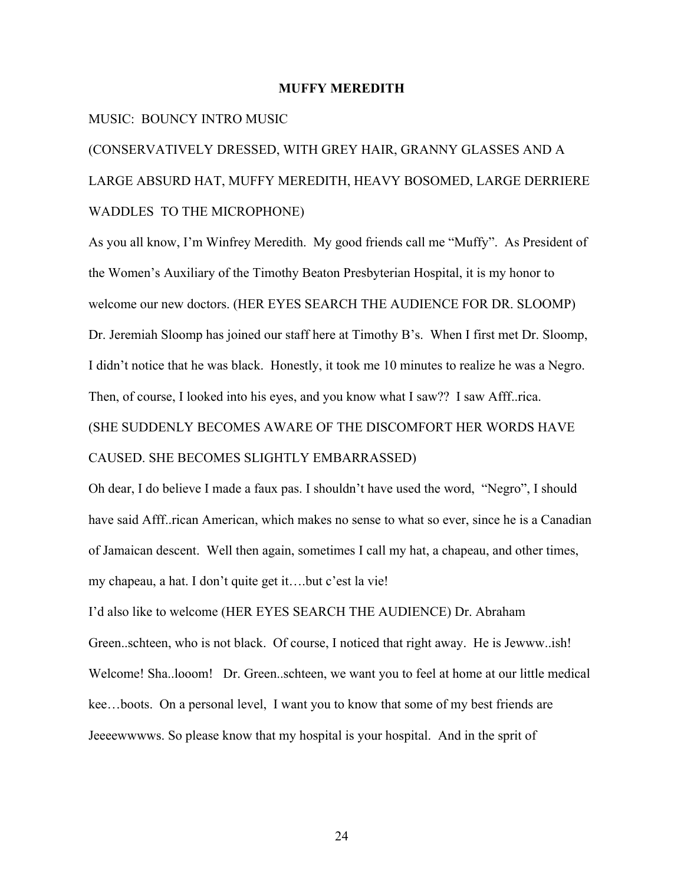#### **MUFFY MEREDITH**

#### MUSIC: BOUNCY INTRO MUSIC

## (CONSERVATIVELY DRESSED, WITH GREY HAIR, GRANNY GLASSES AND A LARGE ABSURD HAT, MUFFY MEREDITH, HEAVY BOSOMED, LARGE DERRIERE WADDLES TO THE MICROPHONE)

As you all know, I'm Winfrey Meredith. My good friends call me "Muffy". As President of the Women's Auxiliary of the Timothy Beaton Presbyterian Hospital, it is my honor to welcome our new doctors. (HER EYES SEARCH THE AUDIENCE FOR DR. SLOOMP) Dr. Jeremiah Sloomp has joined our staff here at Timothy B's. When I first met Dr. Sloomp, I didn't notice that he was black. Honestly, it took me 10 minutes to realize he was a Negro. Then, of course, I looked into his eyes, and you know what I saw?? I saw Afff..rica. (SHE SUDDENLY BECOMES AWARE OF THE DISCOMFORT HER WORDS HAVE CAUSED. SHE BECOMES SLIGHTLY EMBARRASSED)

Oh dear, I do believe I made a faux pas. I shouldn't have used the word, "Negro", I should have said Afff..rican American, which makes no sense to what so ever, since he is a Canadian of Jamaican descent. Well then again, sometimes I call my hat, a chapeau, and other times, my chapeau, a hat. I don't quite get it….but c'est la vie!

I'd also like to welcome (HER EYES SEARCH THE AUDIENCE) Dr. Abraham Green..schteen, who is not black. Of course, I noticed that right away. He is Jewww..ish! Welcome! Sha..looom! Dr. Green..schteen, we want you to feel at home at our little medical kee…boots. On a personal level, I want you to know that some of my best friends are Jeeeewwwws. So please know that my hospital is your hospital. And in the sprit of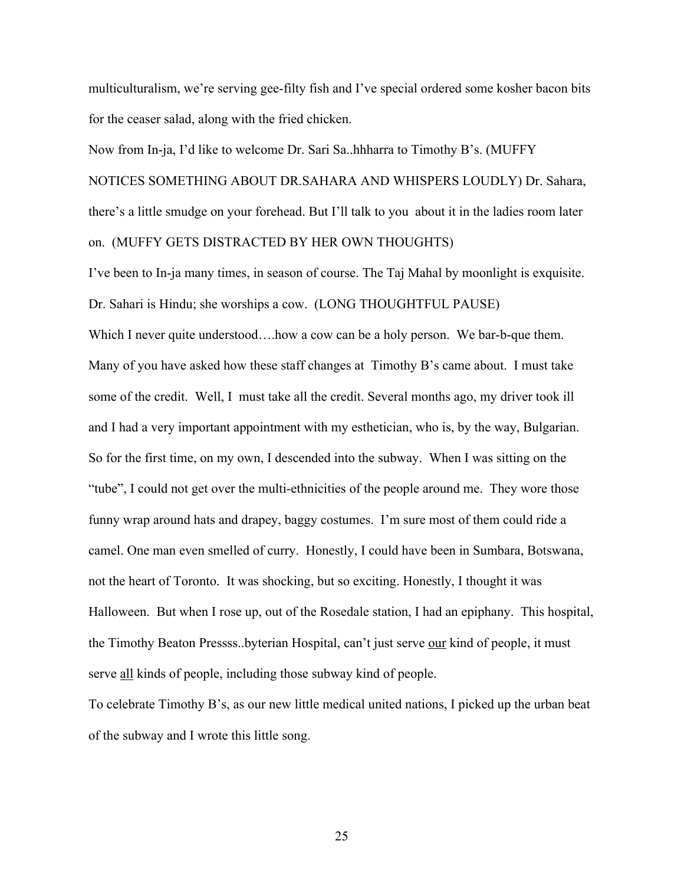multiculturalism, we're serving gee-filty fish and I've special ordered some kosher bacon bits for the ceaser salad, along with the fried chicken.

Now from In-ja, I'd like to welcome Dr. Sari Sa..hhharra to Timothy B's. (MUFFY NOTICES SOMETHING ABOUT DR.SAHARA AND WHISPERS LOUDLY) Dr. Sahara, there's a little smudge on your forehead. But I'll talk to you about it in the ladies room later on. (MUFFY GETS DISTRACTED BY HER OWN THOUGHTS)

I've been to In-ja many times, in season of course. The Taj Mahal by moonlight is exquisite. Dr. Sahari is Hindu; she worships a cow. (LONG THOUGHTFUL PAUSE)

Which I never quite understood....how a cow can be a holy person. We bar-b-que them. Many of you have asked how these staff changes at Timothy B's came about. I must take some of the credit. Well, I must take all the credit. Several months ago, my driver took ill and I had a very important appointment with my esthetician, who is, by the way, Bulgarian. So for the first time, on my own, I descended into the subway. When I was sitting on the "tube", I could not get over the multi-ethnicities of the people around me. They wore those funny wrap around hats and drapey, baggy costumes. I'm sure most of them could ride a camel. One man even smelled of curry. Honestly, I could have been in Sumbara, Botswana, not the heart of Toronto. It was shocking, but so exciting. Honestly, I thought it was Halloween. But when I rose up, out of the Rosedale station, I had an epiphany. This hospital, the Timothy Beaton Pressss..byterian Hospital, can't just serve our kind of people, it must serve all kinds of people, including those subway kind of people.

To celebrate Timothy B's, as our new little medical united nations, I picked up the urban beat of the subway and I wrote this little song.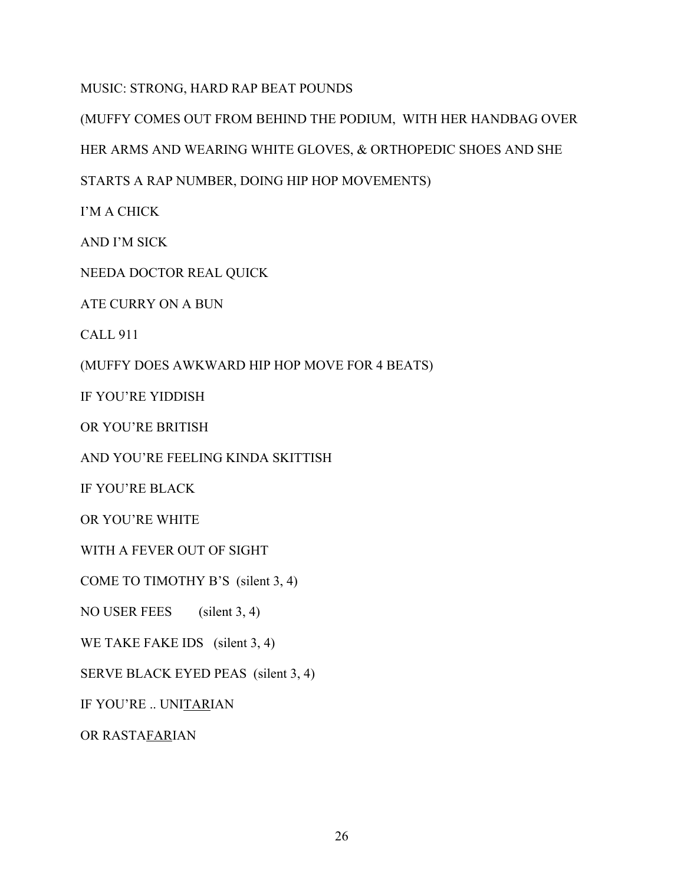MUSIC: STRONG, HARD RAP BEAT POUNDS

(MUFFY COMES OUT FROM BEHIND THE PODIUM, WITH HER HANDBAG OVER

HER ARMS AND WEARING WHITE GLOVES, & ORTHOPEDIC SHOES AND SHE

STARTS A RAP NUMBER, DOING HIP HOP MOVEMENTS)

I'M A CHICK

AND I'M SICK

NEEDA DOCTOR REAL QUICK

ATE CURRY ON A BUN

CALL 911

(MUFFY DOES AWKWARD HIP HOP MOVE FOR 4 BEATS)

IF YOU'RE YIDDISH

OR YOU'RE BRITISH

AND YOU'RE FEELING KINDA SKITTISH

IF YOU'RE BLACK

OR YOU'RE WHITE

WITH A FEVER OUT OF SIGHT

COME TO TIMOTHY B'S (silent 3, 4)

NO USER FEES (silent 3, 4)

WE TAKE FAKE IDS (silent 3, 4)

SERVE BLACK EYED PEAS (silent 3, 4)

IF YOU'RE .. UNITARIAN

OR RASTAFARIAN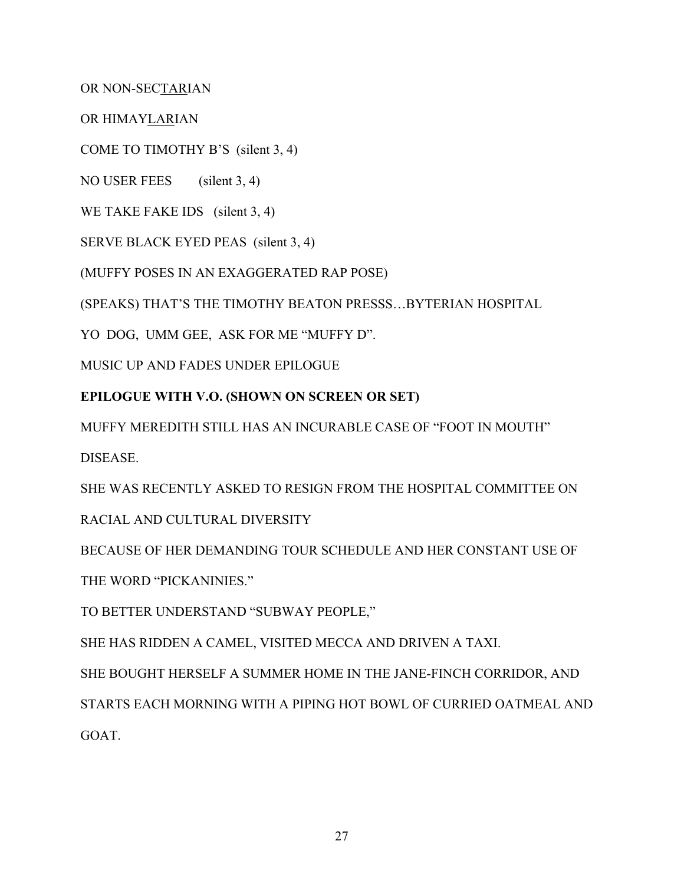OR NON-SECTARIAN

OR HIMAYLARIAN

COME TO TIMOTHY B'S (silent 3, 4)

NO USER FEES (silent 3, 4)

WE TAKE FAKE IDS (silent 3, 4)

SERVE BLACK EYED PEAS (silent 3, 4)

(MUFFY POSES IN AN EXAGGERATED RAP POSE)

(SPEAKS) THAT'S THE TIMOTHY BEATON PRESSS…BYTERIAN HOSPITAL

YO DOG, UMM GEE, ASK FOR ME "MUFFY D".

MUSIC UP AND FADES UNDER EPILOGUE

## **EPILOGUE WITH V.O. (SHOWN ON SCREEN OR SET)**

MUFFY MEREDITH STILL HAS AN INCURABLE CASE OF "FOOT IN MOUTH" **DISEASE** 

SHE WAS RECENTLY ASKED TO RESIGN FROM THE HOSPITAL COMMITTEE ON

RACIAL AND CULTURAL DIVERSITY

BECAUSE OF HER DEMANDING TOUR SCHEDULE AND HER CONSTANT USE OF THE WORD "PICKANINIES."

TO BETTER UNDERSTAND "SUBWAY PEOPLE,"

SHE HAS RIDDEN A CAMEL, VISITED MECCA AND DRIVEN A TAXI.

SHE BOUGHT HERSELF A SUMMER HOME IN THE JANE-FINCH CORRIDOR, AND

STARTS EACH MORNING WITH A PIPING HOT BOWL OF CURRIED OATMEAL AND GOAT.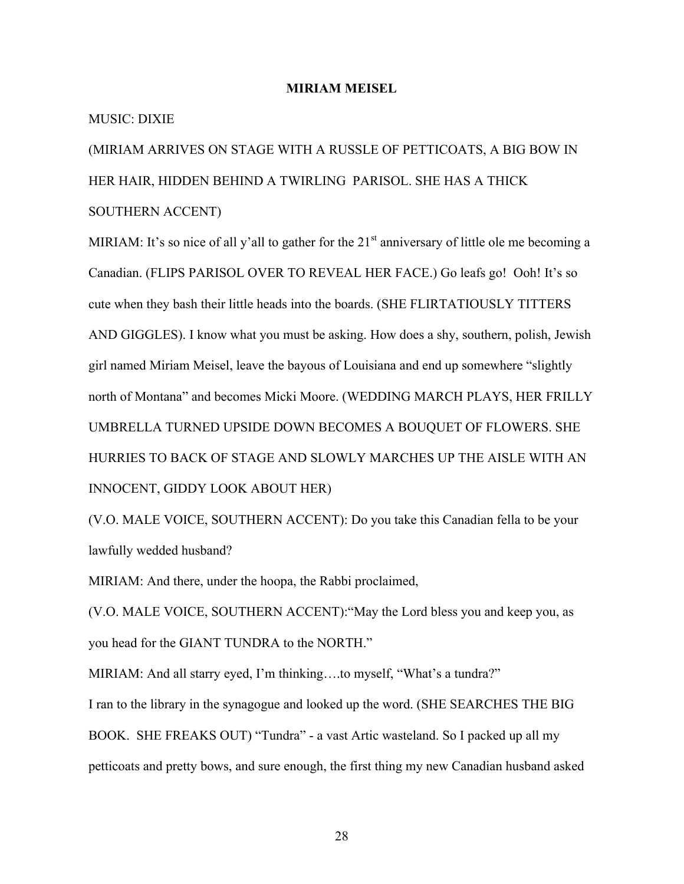#### **MIRIAM MEISEL**

#### MUSIC: DIXIE

(MIRIAM ARRIVES ON STAGE WITH A RUSSLE OF PETTICOATS, A BIG BOW IN HER HAIR, HIDDEN BEHIND A TWIRLING PARISOL. SHE HAS A THICK SOUTHERN ACCENT)

MIRIAM: It's so nice of all y'all to gather for the  $21<sup>st</sup>$  anniversary of little ole me becoming a Canadian. (FLIPS PARISOL OVER TO REVEAL HER FACE.) Go leafs go! Ooh! It's so cute when they bash their little heads into the boards. (SHE FLIRTATIOUSLY TITTERS AND GIGGLES). I know what you must be asking. How does a shy, southern, polish, Jewish girl named Miriam Meisel, leave the bayous of Louisiana and end up somewhere "slightly north of Montana" and becomes Micki Moore. (WEDDING MARCH PLAYS, HER FRILLY UMBRELLA TURNED UPSIDE DOWN BECOMES A BOUQUET OF FLOWERS. SHE HURRIES TO BACK OF STAGE AND SLOWLY MARCHES UP THE AISLE WITH AN INNOCENT, GIDDY LOOK ABOUT HER)

(V.O. MALE VOICE, SOUTHERN ACCENT): Do you take this Canadian fella to be your lawfully wedded husband?

MIRIAM: And there, under the hoopa, the Rabbi proclaimed,

(V.O. MALE VOICE, SOUTHERN ACCENT):"May the Lord bless you and keep you, as you head for the GIANT TUNDRA to the NORTH."

MIRIAM: And all starry eyed, I'm thinking....to myself, "What's a tundra?" I ran to the library in the synagogue and looked up the word. (SHE SEARCHES THE BIG BOOK. SHE FREAKS OUT) "Tundra" - a vast Artic wasteland. So I packed up all my petticoats and pretty bows, and sure enough, the first thing my new Canadian husband asked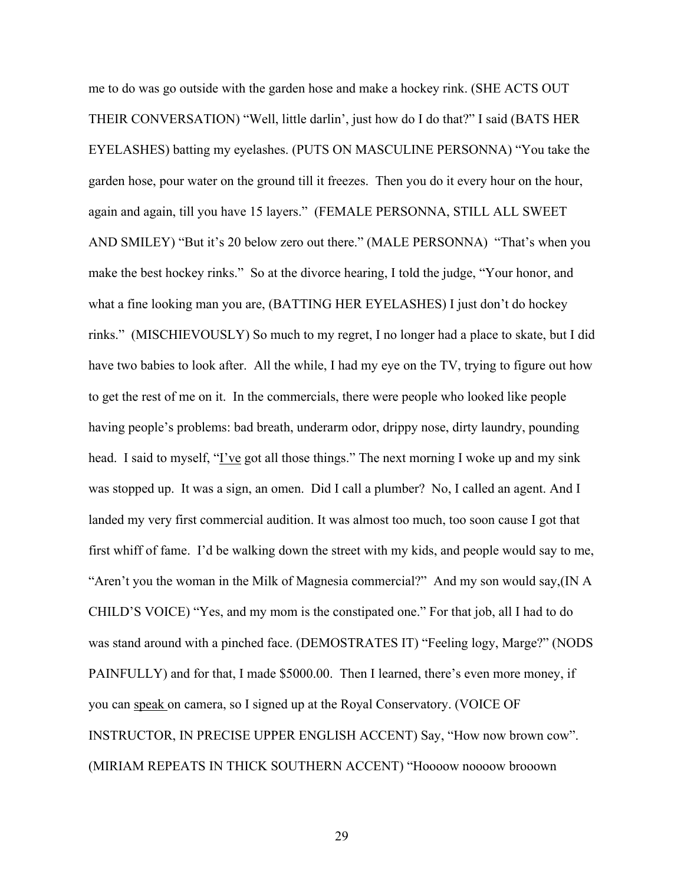me to do was go outside with the garden hose and make a hockey rink. (SHE ACTS OUT THEIR CONVERSATION) "Well, little darlin', just how do I do that?" I said (BATS HER EYELASHES) batting my eyelashes. (PUTS ON MASCULINE PERSONNA) "You take the garden hose, pour water on the ground till it freezes. Then you do it every hour on the hour, again and again, till you have 15 layers." (FEMALE PERSONNA, STILL ALL SWEET AND SMILEY) "But it's 20 below zero out there." (MALE PERSONNA) "That's when you make the best hockey rinks." So at the divorce hearing, I told the judge, "Your honor, and what a fine looking man you are, (BATTING HER EYELASHES) I just don't do hockey rinks." (MISCHIEVOUSLY) So much to my regret, I no longer had a place to skate, but I did have two babies to look after. All the while, I had my eye on the TV, trying to figure out how to get the rest of me on it. In the commercials, there were people who looked like people having people's problems: bad breath, underarm odor, drippy nose, dirty laundry, pounding head. I said to myself, "<u>I've</u> got all those things." The next morning I woke up and my sink was stopped up. It was a sign, an omen. Did I call a plumber? No, I called an agent. And I landed my very first commercial audition. It was almost too much, too soon cause I got that first whiff of fame. I'd be walking down the street with my kids, and people would say to me, "Aren't you the woman in the Milk of Magnesia commercial?" And my son would say,(IN A CHILD'S VOICE) "Yes, and my mom is the constipated one." For that job, all I had to do was stand around with a pinched face. (DEMOSTRATES IT) "Feeling logy, Marge?" (NODS PAINFULLY) and for that, I made \$5000.00. Then I learned, there's even more money, if you can speak on camera, so I signed up at the Royal Conservatory. (VOICE OF INSTRUCTOR, IN PRECISE UPPER ENGLISH ACCENT) Say, "How now brown cow". (MIRIAM REPEATS IN THICK SOUTHERN ACCENT) "Hoooow noooow brooown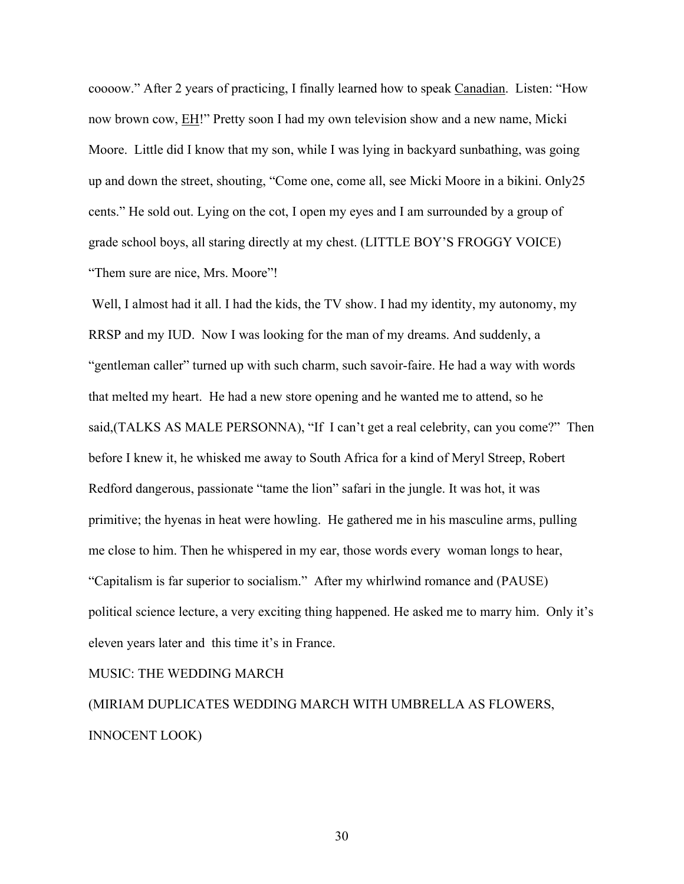coooow." After 2 years of practicing, I finally learned how to speak Canadian. Listen: "How now brown cow, EH!" Pretty soon I had my own television show and a new name, Micki Moore. Little did I know that my son, while I was lying in backyard sunbathing, was going up and down the street, shouting, "Come one, come all, see Micki Moore in a bikini. Only25 cents." He sold out. Lying on the cot, I open my eyes and I am surrounded by a group of grade school boys, all staring directly at my chest. (LITTLE BOY'S FROGGY VOICE) "Them sure are nice, Mrs. Moore"!

 Well, I almost had it all. I had the kids, the TV show. I had my identity, my autonomy, my RRSP and my IUD. Now I was looking for the man of my dreams. And suddenly, a "gentleman caller" turned up with such charm, such savoir-faire. He had a way with words that melted my heart. He had a new store opening and he wanted me to attend, so he said,(TALKS AS MALE PERSONNA), "If I can't get a real celebrity, can you come?" Then before I knew it, he whisked me away to South Africa for a kind of Meryl Streep, Robert Redford dangerous, passionate "tame the lion" safari in the jungle. It was hot, it was primitive; the hyenas in heat were howling. He gathered me in his masculine arms, pulling me close to him. Then he whispered in my ear, those words every woman longs to hear, "Capitalism is far superior to socialism." After my whirlwind romance and (PAUSE) political science lecture, a very exciting thing happened. He asked me to marry him. Only it's eleven years later and this time it's in France.

#### MUSIC: THE WEDDING MARCH

(MIRIAM DUPLICATES WEDDING MARCH WITH UMBRELLA AS FLOWERS, INNOCENT LOOK)